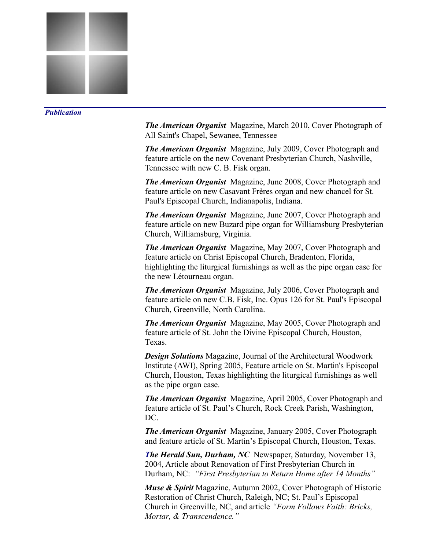

## *Publication*

*The American Organist* Magazine, March 2010, Cover Photograph of All Saint's Chapel, Sewanee, Tennessee

*The American Organist* Magazine, July 2009, Cover Photograph and feature article on the new Covenant Presbyterian Church, Nashville, Tennessee with new C. B. Fisk organ.

*The American Organist* Magazine, June 2008, Cover Photograph and feature article on new Casavant Frères organ and new chancel for St. Paul's Episcopal Church, Indianapolis, Indiana.

*The American Organist* Magazine, June 2007, Cover Photograph and feature article on new Buzard pipe organ for Williamsburg Presbyterian Church, Williamsburg, Virginia.

*The American Organist* Magazine, May 2007, Cover Photograph and feature article on Christ Episcopal Church, Bradenton, Florida, highlighting the liturgical furnishings as well as the pipe organ case for the new Létourneau organ.

*The American Organist* Magazine, July 2006, Cover Photograph and feature article on new C.B. Fisk, Inc. Opus 126 for St. Paul's Episcopal Church, Greenville, North Carolina.

*The American Organist* Magazine, May 2005, Cover Photograph and feature article of St. John the Divine Episcopal Church, Houston, Texas.

*Design Solutions* Magazine, Journal of the Architectural Woodwork Institute (AWI), Spring 2005, Feature article on St. Martin's Episcopal Church, Houston, Texas highlighting the liturgical furnishings as well as the pipe organ case.

*The American Organist* Magazine, April 2005, Cover Photograph and feature article of St. Paul's Church, Rock Creek Parish, Washington, DC.

*The American Organist* Magazine, January 2005, Cover Photograph and feature article of St. Martin's Episcopal Church, Houston, Texas.

*The Herald Sun, Durham, NC* Newspaper, Saturday, November 13, 2004, Article about Renovation of First Presbyterian Church in Durham, NC: *"First Presbyterian to Return Home after 14 Months"* 

*Muse & Spirit* Magazine, Autumn 2002, Cover Photograph of Historic Restoration of Christ Church, Raleigh, NC; St. Paul's Episcopal Church in Greenville, NC, and article *"Form Follows Faith: Bricks, Mortar, & Transcendence."*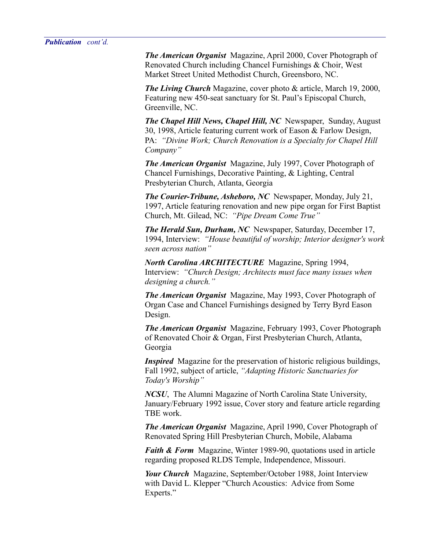*The American Organist* Magazine, April 2000, Cover Photograph of Renovated Church including Chancel Furnishings & Choir, West Market Street United Methodist Church, Greensboro, NC.

*The Living Church* Magazine, cover photo & article, March 19, 2000, Featuring new 450-seat sanctuary for St. Paul's Episcopal Church, Greenville, NC.

*The Chapel Hill News, Chapel Hill, NC* Newspaper, Sunday, August 30, 1998, Article featuring current work of Eason & Farlow Design, PA: *"Divine Work; Church Renovation is a Specialty for Chapel Hill Company"* 

*The American Organist* Magazine, July 1997, Cover Photograph of Chancel Furnishings, Decorative Painting, & Lighting, Central Presbyterian Church, Atlanta, Georgia

*The Courier-Tribune, Asheboro, NC* Newspaper, Monday, July 21, 1997, Article featuring renovation and new pipe organ for First Baptist Church, Mt. Gilead, NC: *"Pipe Dream Come True"*

*The Herald Sun, Durham, NC* Newspaper, Saturday, December 17, 1994, Interview: *"House beautiful of worship; Interior designer's work seen across nation"* 

*North Carolina ARCHITECTURE* Magazine, Spring 1994, Interview: *"Church Design; Architects must face many issues when designing a church."*

*The American Organist* Magazine, May 1993, Cover Photograph of Organ Case and Chancel Furnishings designed by Terry Byrd Eason Design.

*The American Organist* Magazine, February 1993, Cover Photograph of Renovated Choir & Organ, First Presbyterian Church, Atlanta, Georgia

*Inspired* Magazine for the preservation of historic religious buildings, Fall 1992, subject of article, *"Adapting Historic Sanctuaries for Today's Worship"*

*NCSU*, The Alumni Magazine of North Carolina State University, January/February 1992 issue, Cover story and feature article regarding TBE work.

*The American Organist* Magazine, April 1990, Cover Photograph of Renovated Spring Hill Presbyterian Church, Mobile, Alabama

*Faith & Form* Magazine, Winter 1989-90, quotations used in article regarding proposed RLDS Temple, Independence, Missouri.

*Your Church* Magazine, September/October 1988, Joint Interview with David L. Klepper "Church Acoustics: Advice from Some Experts."